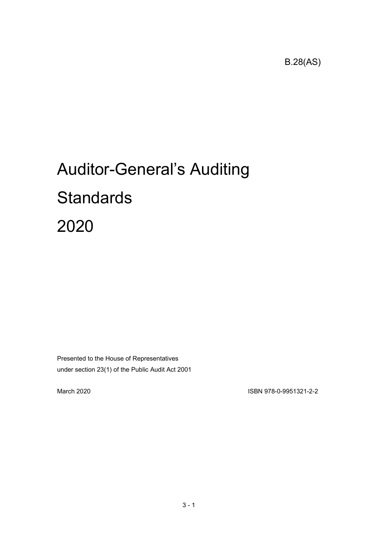B.28(AS)

# Auditor-General's Auditing **Standards** 2020

Presented to the House of Representatives under section 23(1) of the Public Audit Act 2001

March 2020 ISBN 978-0-9951321-2-2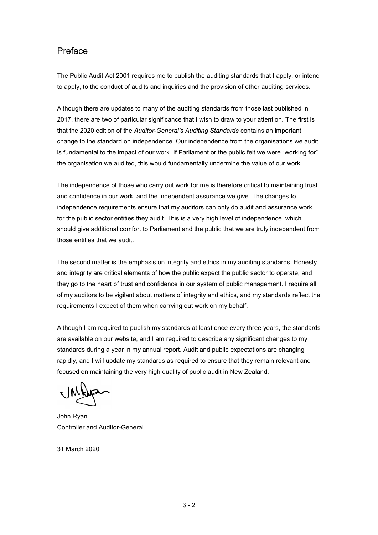## Preface

The Public Audit Act 2001 requires me to publish the auditing standards that I apply, or intend to apply, to the conduct of audits and inquiries and the provision of other auditing services.

Although there are updates to many of the auditing standards from those last published in 2017, there are two of particular significance that I wish to draw to your attention. The first is that the 2020 edition of the *Auditor-General's Auditing Standards* contains an important change to the standard on independence. Our independence from the organisations we audit is fundamental to the impact of our work. If Parliament or the public felt we were "working for" the organisation we audited, this would fundamentally undermine the value of our work.

The independence of those who carry out work for me is therefore critical to maintaining trust and confidence in our work, and the independent assurance we give. The changes to independence requirements ensure that my auditors can only do audit and assurance work for the public sector entities they audit. This is a very high level of independence, which should give additional comfort to Parliament and the public that we are truly independent from those entities that we audit.

The second matter is the emphasis on integrity and ethics in my auditing standards. Honesty and integrity are critical elements of how the public expect the public sector to operate, and they go to the heart of trust and confidence in our system of public management. I require all of my auditors to be vigilant about matters of integrity and ethics, and my standards reflect the requirements I expect of them when carrying out work on my behalf.

Although I am required to publish my standards at least once every three years, the standards are available on our website, and I am required to describe any significant changes to my standards during a year in my annual report. Audit and public expectations are changing rapidly, and I will update my standards as required to ensure that they remain relevant and focused on maintaining the very high quality of public audit in New Zealand.

John Ryan Controller and Auditor-General

31 March 2020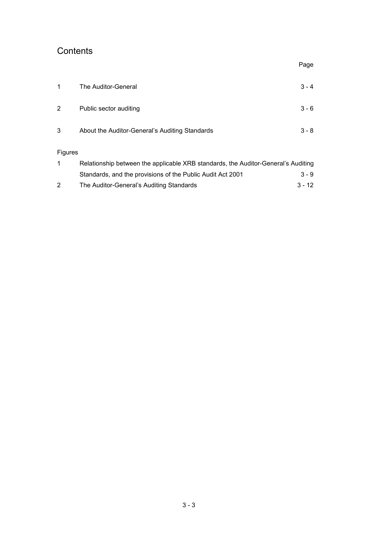# **Contents**

|                |                                                                                   | Page    |
|----------------|-----------------------------------------------------------------------------------|---------|
| 1              | The Auditor-General                                                               | $3 - 4$ |
| 2              | Public sector auditing                                                            | $3 - 6$ |
| 3              | About the Auditor-General's Auditing Standards                                    | $3 - 8$ |
| <b>Figures</b> |                                                                                   |         |
| 1              | Relationship between the applicable XRB standards, the Auditor-General's Auditing |         |
|                | Standards, and the provisions of the Public Audit Act 2001                        | 3 - 9   |

| The Auditor-General's Auditing Standards | 3 - 12 |
|------------------------------------------|--------|
|                                          |        |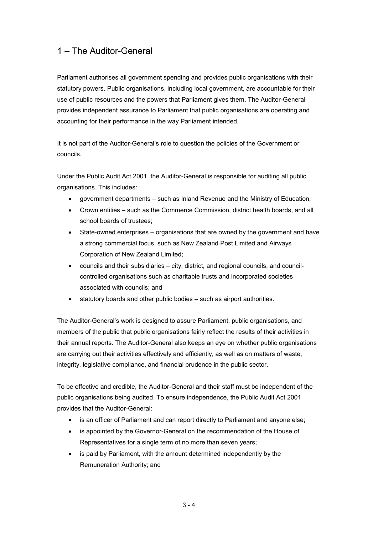## <span id="page-3-0"></span>1 – The Auditor-General

Parliament authorises all government spending and provides public organisations with their statutory powers. Public organisations, including local government, are accountable for their use of public resources and the powers that Parliament gives them. The Auditor-General provides independent assurance to Parliament that public organisations are operating and accounting for their performance in the way Parliament intended.

It is not part of the Auditor-General's role to question the policies of the Government or councils.

Under the Public Audit Act 2001, the Auditor-General is responsible for auditing all public organisations. This includes:

- government departments such as Inland Revenue and the Ministry of Education;
- Crown entities such as the Commerce Commission, district health boards, and all school boards of trustees;
- State-owned enterprises organisations that are owned by the government and have a strong commercial focus, such as New Zealand Post Limited and Airways Corporation of New Zealand Limited;
- councils and their subsidiaries city, district, and regional councils, and councilcontrolled organisations such as charitable trusts and incorporated societies associated with councils; and
- statutory boards and other public bodies such as airport authorities.

The Auditor-General's work is designed to assure Parliament, public organisations, and members of the public that public organisations fairly reflect the results of their activities in their annual reports. The Auditor-General also keeps an eye on whether public organisations are carrying out their activities effectively and efficiently, as well as on matters of waste, integrity, legislative compliance, and financial prudence in the public sector.

To be effective and credible, the Auditor-General and their staff must be independent of the public organisations being audited. To ensure independence, the Public Audit Act 2001 provides that the Auditor-General:

- is an officer of Parliament and can report directly to Parliament and anyone else;
- is appointed by the Governor-General on the recommendation of the House of Representatives for a single term of no more than seven years;
- is paid by Parliament, with the amount determined independently by the Remuneration Authority; and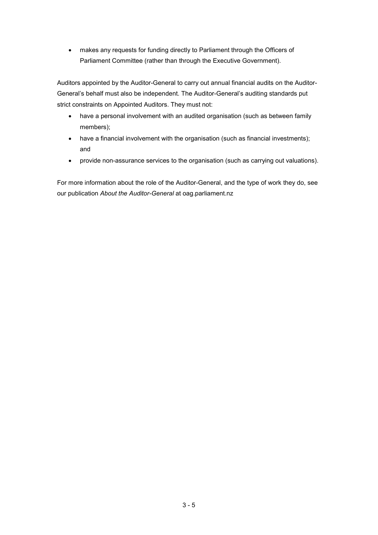• makes any requests for funding directly to Parliament through the Officers of Parliament Committee (rather than through the Executive Government).

Auditors appointed by the Auditor-General to carry out annual financial audits on the Auditor-General's behalf must also be independent. The Auditor-General's auditing standards put strict constraints on Appointed Auditors. They must not:

- have a personal involvement with an audited organisation (such as between family members);
- have a financial involvement with the organisation (such as financial investments); and
- provide non-assurance services to the organisation (such as carrying out valuations).

<span id="page-4-0"></span>For more information about the role of the Auditor-General, and the type of work they do, see our publication *About the Auditor-General* at oag.parliament.nz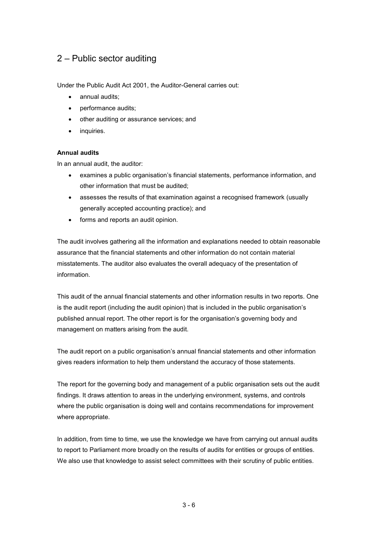## 2 – Public sector auditing

Under the Public Audit Act 2001, the Auditor-General carries out:

- annual audits;
- performance audits;
- other auditing or assurance services; and
- inquiries.

#### **Annual audits**

In an annual audit, the auditor:

- examines a public organisation's financial statements, performance information, and other information that must be audited;
- assesses the results of that examination against a recognised framework (usually generally accepted accounting practice); and
- forms and reports an audit opinion.

The audit involves gathering all the information and explanations needed to obtain reasonable assurance that the financial statements and other information do not contain material misstatements. The auditor also evaluates the overall adequacy of the presentation of information.

This audit of the annual financial statements and other information results in two reports. One is the audit report (including the audit opinion) that is included in the public organisation's published annual report. The other report is for the organisation's governing body and management on matters arising from the audit.

The audit report on a public organisation's annual financial statements and other information gives readers information to help them understand the accuracy of those statements.

The report for the governing body and management of a public organisation sets out the audit findings. It draws attention to areas in the underlying environment, systems, and controls where the public organisation is doing well and contains recommendations for improvement where appropriate.

In addition, from time to time, we use the knowledge we have from carrying out annual audits to report to Parliament more broadly on the results of audits for entities or groups of entities. We also use that knowledge to assist select committees with their scrutiny of public entities.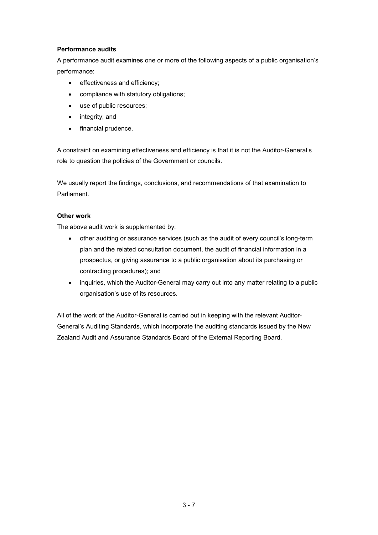#### **Performance audits**

A performance audit examines one or more of the following aspects of a public organisation's performance:

- effectiveness and efficiency;
- compliance with statutory obligations;
- use of public resources;
- integrity; and
- financial prudence.

A constraint on examining effectiveness and efficiency is that it is not the Auditor-General's role to question the policies of the Government or councils.

We usually report the findings, conclusions, and recommendations of that examination to Parliament.

#### **Other work**

The above audit work is supplemented by:

- other auditing or assurance services (such as the audit of every council's long-term plan and the related consultation document, the audit of financial information in a prospectus, or giving assurance to a public organisation about its purchasing or contracting procedures); and
- inquiries, which the Auditor-General may carry out into any matter relating to a public organisation's use of its resources.

All of the work of the Auditor-General is carried out in keeping with the relevant Auditor-General's Auditing Standards, which incorporate the auditing standards issued by the New Zealand Audit and Assurance Standards Board of the External Reporting Board.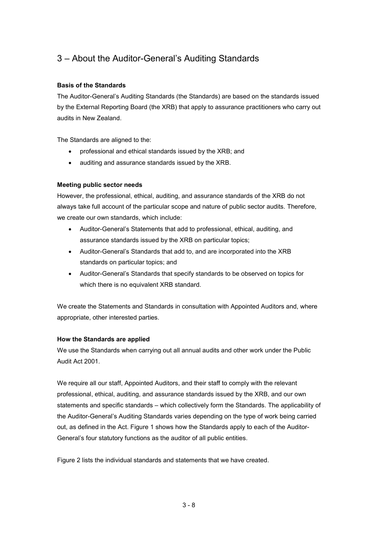## <span id="page-7-0"></span>3 – About the Auditor-General's Auditing Standards

#### **Basis of the Standards**

The Auditor-General's Auditing Standards (the Standards) are based on the standards issued by the External Reporting Board (the XRB) that apply to assurance practitioners who carry out audits in New Zealand.

The Standards are aligned to the:

- professional and ethical standards issued by the XRB; and
- auditing and assurance standards issued by the XRB.

#### **Meeting public sector needs**

However, the professional, ethical, auditing, and assurance standards of the XRB do not always take full account of the particular scope and nature of public sector audits. Therefore, we create our own standards, which include:

- Auditor-General's Statements that add to professional, ethical, auditing, and assurance standards issued by the XRB on particular topics;
- Auditor-General's Standards that add to, and are incorporated into the XRB standards on particular topics; and
- Auditor-General's Standards that specify standards to be observed on topics for which there is no equivalent XRB standard.

We create the Statements and Standards in consultation with Appointed Auditors and, where appropriate, other interested parties.

#### **How the Standards are applied**

We use the Standards when carrying out all annual audits and other work under the Public Audit Act 2001.

We require all our staff, Appointed Auditors, and their staff to comply with the relevant professional, ethical, auditing, and assurance standards issued by the XRB, and our own statements and specific standards – which collectively form the Standards. The applicability of the Auditor-General's Auditing Standards varies depending on the type of work being carried out, as defined in the Act. Figure 1 shows how the Standards apply to each of the Auditor-General's four statutory functions as the auditor of all public entities.

Figure 2 lists the individual standards and statements that we have created.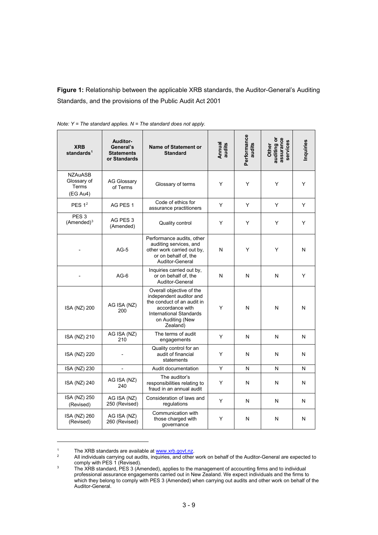<span id="page-8-0"></span>**Figure 1:** Relationship between the applicable XRB standards, the Auditor-General's Auditing Standards, and the provisions of the Public Audit Act 2001

| <b>XRB</b><br>standards $1$                        | Auditor-<br>General's<br><b>Statements</b><br>or Standards | <b>Name of Statement or</b><br><b>Standard</b>                                                                                                                  | Annual<br>audits | Performance<br>audits | assurance<br>auditing or<br>services<br>Other | Inquiries |
|----------------------------------------------------|------------------------------------------------------------|-----------------------------------------------------------------------------------------------------------------------------------------------------------------|------------------|-----------------------|-----------------------------------------------|-----------|
| <b>NZAuASB</b><br>Glossary of<br>Terms<br>(EG Au4) | <b>AG Glossary</b><br>of Terms                             | Glossary of terms                                                                                                                                               | Y                | Y                     | Y                                             | Y         |
| PES $12$                                           | AG PES 1                                                   | Code of ethics for<br>assurance practitioners                                                                                                                   | Y                | Y                     | Y                                             | Y         |
| PES <sub>3</sub><br>$(Amended)^3$                  | AG PES 3<br>(Amended)                                      | Quality control                                                                                                                                                 | Y                | Y                     | Y                                             | Y         |
|                                                    | $AG-5$                                                     | Performance audits, other<br>auditing services, and<br>other work carried out by,<br>or on behalf of, the<br>Auditor-General                                    | N                | Y                     | Y                                             | N         |
|                                                    | $AG-6$                                                     | Inquiries carried out by,<br>or on behalf of, the<br>Auditor-General                                                                                            | N                | N                     | N                                             | Y         |
| ISA (NZ) 200                                       | AG ISA (NZ)<br>200                                         | Overall objective of the<br>independent auditor and<br>the conduct of an audit in<br>accordance with<br>International Standards<br>on Auditing (New<br>Zealand) | Y                | N                     | N                                             | N         |
| ISA (NZ) 210                                       | AG ISA (NZ)<br>210                                         | The terms of audit<br>engagements                                                                                                                               | Y                | N                     | N                                             | N         |
| ISA (NZ) 220                                       |                                                            | Quality control for an<br>audit of financial<br>statements                                                                                                      | Y                | N                     | N                                             | N         |
| ISA (NZ) 230                                       | $\overline{a}$                                             | Audit documentation                                                                                                                                             | Y                | N                     | N                                             | N         |
| ISA (NZ) 240                                       | AG ISA (NZ)<br>240                                         | The auditor's<br>responsibilities relating to<br>fraud in an annual audit                                                                                       | Y                | N                     | N                                             | N         |
| ISA (NZ) 250<br>(Revised)                          | AG ISA (NZ)<br>250 (Revised)                               | Consideration of laws and<br>regulations                                                                                                                        | Y                | N                     | N                                             | N         |
| ISA (NZ) 260<br>(Revised)                          | AG ISA (NZ)<br>260 (Revised)                               | Communication with<br>those charged with<br>governance                                                                                                          | Y                | N                     | N                                             | N         |

*Note: Y = The standard applies. N = The standard does not apply.*

-

<span id="page-8-2"></span><span id="page-8-1"></span>

<sup>&</sup>lt;sup>1</sup> The XRB standards are available at <u>www.xrb.govt.nz</u>.<br><sup>2</sup> All individuals carrying out audits, inquiries, and other work on behalf of the Auditor-General are expected to comply with PES 1 (Revised).

<span id="page-8-3"></span><sup>&</sup>lt;sup>3</sup> The XRB standard, PES 3 (Amended), applies to the management of accounting firms and to individual professional assurance engagements carried out in New Zealand. We expect individuals and the firms to which they belong to comply with PES 3 (Amended) when carrying out audits and other work on behalf of the Auditor-General.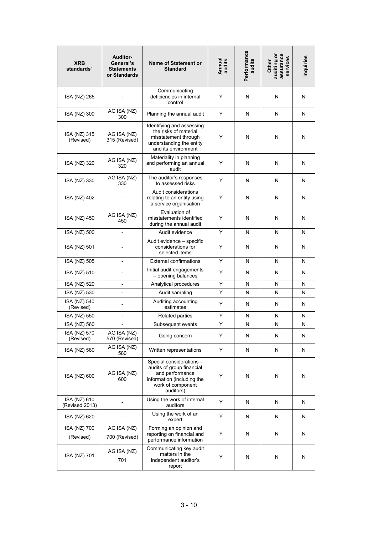| <b>XRB</b><br>standards <sup>1</sup> | Auditor-<br>General's<br><b>Statements</b><br>or Standards | <b>Name of Statement or</b><br><b>Standard</b>                                                                                           | Annual<br>audits | Performance<br>audits | assurance<br>auditing or<br>services<br>Other | Inquiries |
|--------------------------------------|------------------------------------------------------------|------------------------------------------------------------------------------------------------------------------------------------------|------------------|-----------------------|-----------------------------------------------|-----------|
| ISA (NZ) 265                         |                                                            | Communicating<br>deficiencies in internal<br>control                                                                                     | Y                | N                     | N                                             | N         |
| ISA (NZ) 300                         | AG ISA (NZ)<br>300                                         | Planning the annual audit                                                                                                                | Y                | N                     | N                                             | N         |
| ISA (NZ) 315<br>(Revised)            | AG ISA (NZ)<br>315 (Revised)                               | Identifying and assessing<br>the risks of material<br>misstatement through<br>understanding the entity<br>and its environment            | Y                | N                     | N                                             | N         |
| ISA (NZ) 320                         | AG ISA (NZ)<br>320                                         | Materiality in planning<br>and performing an annual<br>audit                                                                             | Y                | N                     | N                                             | N         |
| ISA (NZ) 330                         | AG ISA (NZ)<br>330                                         | The auditor's responses<br>to assessed risks                                                                                             | Y                | N                     | N                                             | N         |
| ISA (NZ) 402                         |                                                            | Audit considerations<br>relating to an entity using<br>a service organisation                                                            | Y                | N                     | N                                             | N         |
| ISA (NZ) 450                         | AG ISA (NZ)<br>450                                         | Evaluation of<br>misstatements identified<br>during the annual audit                                                                     | Y                | N                     | N                                             | N         |
| ISA (NZ) 500                         |                                                            | Audit evidence                                                                                                                           | Y                | N                     | N                                             | N         |
| ISA (NZ) 501                         |                                                            | Audit evidence - specific<br>considerations for<br>selected items                                                                        | Y                | N                     | N                                             | N         |
| ISA (NZ) 505                         | $\overline{a}$                                             | <b>External confirmations</b>                                                                                                            | Y                | N                     | N                                             | N         |
| ISA (NZ) 510                         | ٠                                                          | Initial audit engagements<br>- opening balances                                                                                          | Y                | N                     | N                                             | N         |
| ISA (NZ) 520                         | ٠                                                          | Analytical procedures                                                                                                                    | Y                | N                     | N                                             | N         |
| ISA (NZ) 530                         | $\overline{a}$                                             | Audit sampling                                                                                                                           | Y                | N                     | N                                             | N         |
| ISA (NZ) 540<br>(Revised)            |                                                            | Auditing accounting<br>estimates                                                                                                         | Y                | N                     | N                                             | N         |
| ISA (NZ) 550                         | $\overline{a}$                                             | <b>Related parties</b>                                                                                                                   | Y                | N                     | N                                             | N         |
| ISA (NZ) 560                         | ٠                                                          | Subsequent events                                                                                                                        | Υ                | N                     | N                                             | N         |
| ISA (NZ) 570<br>(Revised)            | AG ISA (NZ)<br>570 (Revised)                               | Going concern                                                                                                                            | Y                | N                     | N                                             | N         |
| ISA (NZ) 580                         | AG ISA (NZ)<br>580                                         | Written representations                                                                                                                  | Υ                | N                     | N                                             | N         |
| ISA (NZ) 600                         | AG ISA (NZ)<br>600                                         | Special considerations -<br>audits of group financial<br>and performance<br>information (including the<br>work of component<br>auditors) | Y                | N                     | N                                             | N         |
| ISA (NZ) 610<br>(Revised 2013)       | ٠                                                          | Using the work of internal<br>auditors                                                                                                   | Y                | N                     | N                                             | N         |
| ISA (NZ) 620                         |                                                            | Using the work of an<br>expert                                                                                                           | Υ                | N                     | N                                             | N         |
| ISA (NZ) 700                         | AG ISA (NZ)                                                | Forming an opinion and                                                                                                                   |                  |                       |                                               |           |
| (Revised)                            | 700 (Revised)                                              | reporting on financial and<br>performance information                                                                                    | Υ                | N                     | N                                             | N         |
| ISA (NZ) 701                         | AG ISA (NZ)<br>701                                         | Communicating key audit<br>matters in the<br>independent auditor's<br>report                                                             | Υ                | N                     | N                                             | N         |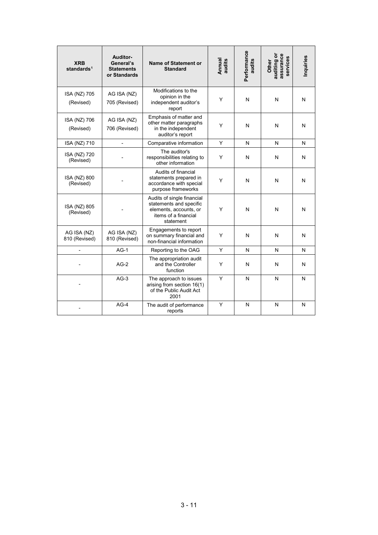| <b>XRB</b><br>standards <sup>1</sup> | Auditor-<br>General's<br><b>Statements</b><br>or Standards | Name of Statement or<br><b>Standard</b>                                                                              | Annual<br>audits | Performance<br>audits | assurance<br>auditing or<br>services<br>Other | Inquiries |
|--------------------------------------|------------------------------------------------------------|----------------------------------------------------------------------------------------------------------------------|------------------|-----------------------|-----------------------------------------------|-----------|
| ISA (NZ) 705<br>(Revised)            | AG ISA (NZ)<br>705 (Revised)                               | Modifications to the<br>opinion in the<br>independent auditor's<br>report                                            | Y                | N                     | N                                             | N         |
| ISA (NZ) 706<br>(Revised)            | AG ISA (NZ)<br>706 (Revised)                               | Emphasis of matter and<br>other matter paragraphs<br>in the independent<br>auditor's report                          | Y                | N                     | N                                             | N         |
| ISA (NZ) 710                         |                                                            | Comparative information                                                                                              | Y                | N                     | N                                             | N         |
| ISA (NZ) 720<br>(Revised)            |                                                            | The auditor's<br>responsibilities relating to<br>other information                                                   | Υ                | N                     | N                                             | N         |
| ISA (NZ) 800<br>(Revised)            |                                                            | Audits of financial<br>statements prepared in<br>accordance with special<br>purpose frameworks                       | Y                | N                     | N                                             | N         |
| ISA (NZ) 805<br>(Revised)            |                                                            | Audits of single financial<br>statements and specific<br>elements, accounts, or<br>items of a financial<br>statement | Y                | N                     | N                                             | N         |
| AG ISA (NZ)<br>810 (Revised)         | AG ISA (NZ)<br>810 (Revised)                               | Engagements to report<br>on summary financial and<br>non-financial information                                       | Υ                | N                     | N                                             | N         |
|                                      | $AG-1$                                                     | Reporting to the OAG                                                                                                 | Y                | N                     | N                                             | N         |
|                                      | $AG-2$                                                     | The appropriation audit<br>and the Controller<br>function                                                            | Υ                | N                     | N                                             | N         |
|                                      | $AG-3$                                                     | The approach to issues<br>arising from section 16(1)<br>of the Public Audit Act<br>2001                              | Υ                | N                     | N                                             | N         |
|                                      | $AG-4$                                                     | The audit of performance<br>reports                                                                                  | Y                | N                     | N                                             | N         |